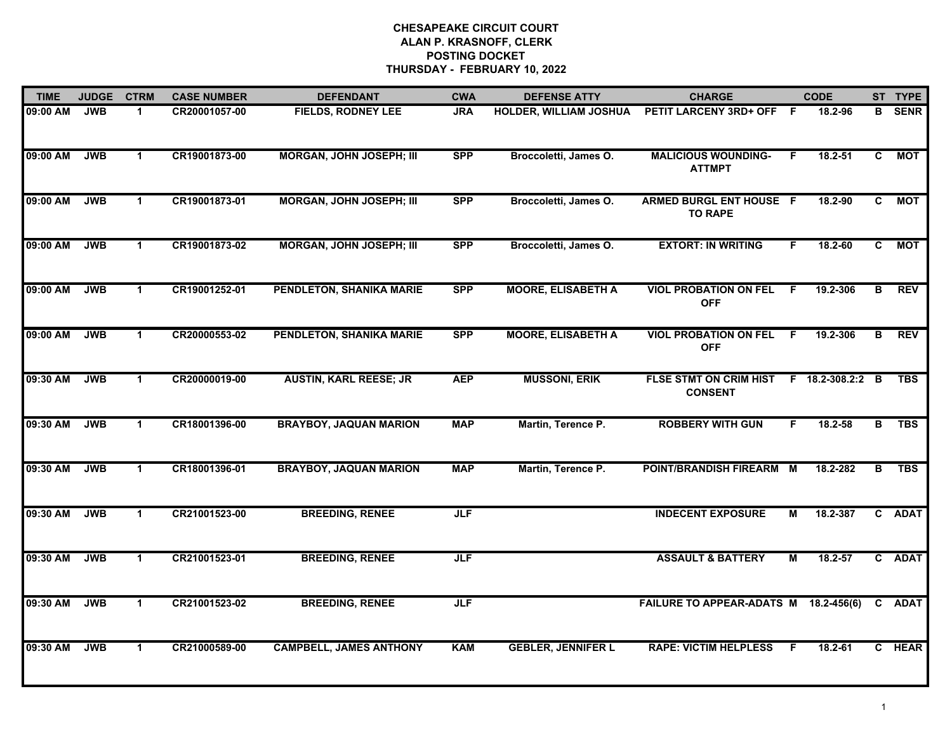| <b>TIME</b> | <b>JUDGE</b> | <b>CTRM</b>          | <b>CASE NUMBER</b> | <b>DEFENDANT</b>                | <b>CWA</b> | <b>DEFENSE ATTY</b>           | <b>CHARGE</b>                                    |    | <b>CODE</b>    |    | ST TYPE       |
|-------------|--------------|----------------------|--------------------|---------------------------------|------------|-------------------------------|--------------------------------------------------|----|----------------|----|---------------|
| 09:00 AM    | <b>JWB</b>   | -1                   | CR20001057-00      | <b>FIELDS, RODNEY LEE</b>       | <b>JRA</b> | <b>HOLDER, WILLIAM JOSHUA</b> | PETIT LARCENY 3RD+ OFF F                         |    | 18.2-96        |    | <b>B</b> SENR |
| 09:00 AM    | <b>JWB</b>   | $\mathbf{1}$         | CR19001873-00      | <b>MORGAN, JOHN JOSEPH; III</b> | <b>SPP</b> | Broccoletti, James O.         | <b>MALICIOUS WOUNDING-</b><br><b>ATTMPT</b>      | F. | $18.2 - 51$    | C  | <b>MOT</b>    |
| 09:00 AM    | <b>JWB</b>   | $\blacktriangleleft$ | CR19001873-01      | <b>MORGAN, JOHN JOSEPH; III</b> | <b>SPP</b> | Broccoletti, James O.         | <b>ARMED BURGL ENT HOUSE F</b><br><b>TO RAPE</b> |    | 18.2-90        | C. | <b>MOT</b>    |
| 09:00 AM    | <b>JWB</b>   | -1                   | CR19001873-02      | <b>MORGAN, JOHN JOSEPH; III</b> | <b>SPP</b> | Broccoletti, James O.         | <b>EXTORT: IN WRITING</b>                        | F. | $18.2 - 60$    | C. | <b>MOT</b>    |
| 09:00 AM    | <b>JWB</b>   | $\mathbf{1}$         | CR19001252-01      | PENDLETON, SHANIKA MARIE        | <b>SPP</b> | <b>MOORE, ELISABETH A</b>     | <b>VIOL PROBATION ON FEL</b><br><b>OFF</b>       | -F | 19.2-306       | B  | <b>REV</b>    |
| 09:00 AM    | <b>JWB</b>   | $\blacktriangleleft$ | CR20000553-02      | PENDLETON, SHANIKA MARIE        | <b>SPP</b> | <b>MOORE, ELISABETH A</b>     | <b>VIOL PROBATION ON FEL</b><br><b>OFF</b>       | F. | 19.2-306       | В  | <b>REV</b>    |
| 09:30 AM    | <b>JWB</b>   | $\mathbf{1}$         | CR20000019-00      | <b>AUSTIN, KARL REESE; JR</b>   | <b>AEP</b> | <b>MUSSONI, ERIK</b>          | <b>FLSE STMT ON CRIM HIST</b><br><b>CONSENT</b>  |    | F 18.2-308.2:2 | B  | <b>TBS</b>    |
| 09:30 AM    | <b>JWB</b>   | $\mathbf 1$          | CR18001396-00      | <b>BRAYBOY, JAQUAN MARION</b>   | <b>MAP</b> | Martin, Terence P.            | <b>ROBBERY WITH GUN</b>                          | F. | 18.2-58        | в  | <b>TBS</b>    |
| 09:30 AM    | <b>JWB</b>   | -1                   | CR18001396-01      | <b>BRAYBOY, JAQUAN MARION</b>   | <b>MAP</b> | Martin, Terence P.            | POINT/BRANDISH FIREARM M                         |    | 18.2-282       | в  | <b>TBS</b>    |
| 09:30 AM    | <b>JWB</b>   | $\blacktriangleleft$ | CR21001523-00      | <b>BREEDING, RENEE</b>          | <b>JLF</b> |                               | <b>INDECENT EXPOSURE</b>                         | М  | 18.2-387       |    | C ADAT        |
| 09:30 AM    | <b>JWB</b>   | $\mathbf 1$          | CR21001523-01      | <b>BREEDING, RENEE</b>          | <b>JLF</b> |                               | <b>ASSAULT &amp; BATTERY</b>                     | М  | 18.2-57        |    | C ADAT        |
| 09:30 AM    | <b>JWB</b>   | $\mathbf{1}$         | CR21001523-02      | <b>BREEDING, RENEE</b>          | JLF        |                               | FAILURE TO APPEAR-ADATS M 18.2-456(6)            |    |                |    | C ADAT        |
| 09:30 AM    | <b>JWB</b>   | $\blacktriangleleft$ | CR21000589-00      | <b>CAMPBELL, JAMES ANTHONY</b>  | <b>KAM</b> | <b>GEBLER, JENNIFER L</b>     | <b>RAPE: VICTIM HELPLESS</b>                     | -F | 18.2-61        |    | C HEAR        |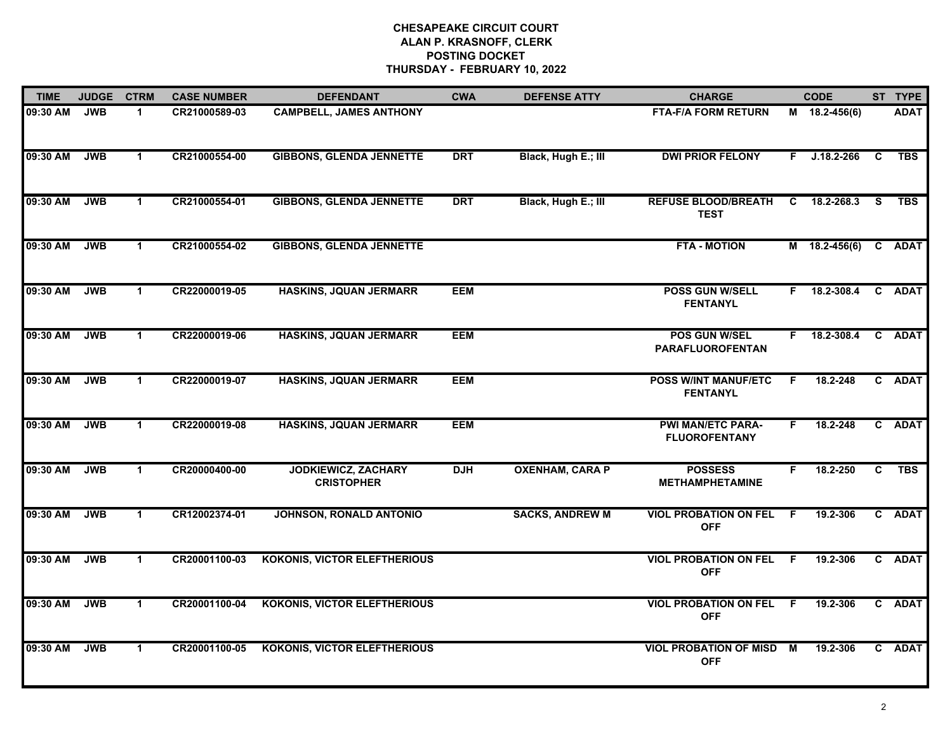| <b>TIME</b> | <b>JUDGE</b> | <b>CTRM</b>          | <b>CASE NUMBER</b> | <b>DEFENDANT</b>                                | <b>CWA</b> | <b>DEFENSE ATTY</b>    | <b>CHARGE</b>                                    |     | <b>CODE</b>    |    | ST TYPE     |
|-------------|--------------|----------------------|--------------------|-------------------------------------------------|------------|------------------------|--------------------------------------------------|-----|----------------|----|-------------|
| 09:30 AM    | <b>JWB</b>   | $\blacktriangleleft$ | CR21000589-03      | <b>CAMPBELL, JAMES ANTHONY</b>                  |            |                        | <b>FTA-F/A FORM RETURN</b>                       |     | M 18.2-456(6)  |    | <b>ADAT</b> |
| 09:30 AM    | <b>JWB</b>   | $\mathbf{1}$         | CR21000554-00      | <b>GIBBONS, GLENDA JENNETTE</b>                 | <b>DRT</b> | Black, Hugh E.; III    | <b>DWI PRIOR FELONY</b>                          | F.  | $J.18.2 - 266$ | C  | <b>TBS</b>  |
| 09:30 AM    | <b>JWB</b>   | $\mathbf 1$          | CR21000554-01      | <b>GIBBONS, GLENDA JENNETTE</b>                 | <b>DRT</b> | Black, Hugh E.; III    | <b>REFUSE BLOOD/BREATH</b><br><b>TEST</b>        | C   | 18.2-268.3     | S. | <b>TBS</b>  |
| 09:30 AM    | <b>JWB</b>   | $\mathbf 1$          | CR21000554-02      | <b>GIBBONS, GLENDA JENNETTE</b>                 |            |                        | <b>FTA - MOTION</b>                              |     | M 18.2-456(6)  |    | C ADAT      |
| 09:30 AM    | <b>JWB</b>   | $\mathbf 1$          | CR22000019-05      | <b>HASKINS, JQUAN JERMARR</b>                   | <b>EEM</b> |                        | <b>POSS GUN W/SELL</b><br><b>FENTANYL</b>        | F.  | 18.2-308.4     |    | C ADAT      |
| 09:30 AM    | <b>JWB</b>   | $\mathbf{1}$         | CR22000019-06      | <b>HASKINS, JQUAN JERMARR</b>                   | <b>EEM</b> |                        | POS GUN W/SEL<br><b>PARAFLUOROFENTAN</b>         |     | F 18.2-308.4   |    | C ADAT      |
| 09:30 AM    | <b>JWB</b>   | $\blacktriangleleft$ | CR22000019-07      | <b>HASKINS, JQUAN JERMARR</b>                   | <b>EEM</b> |                        | <b>POSS W/INT MANUF/ETC</b><br><b>FENTANYL</b>   | F   | 18.2-248       |    | C ADAT      |
| 09:30 AM    | <b>JWB</b>   | -1                   | CR22000019-08      | <b>HASKINS, JQUAN JERMARR</b>                   | <b>EEM</b> |                        | <b>PWI MAN/ETC PARA-</b><br><b>FLUOROFENTANY</b> | F.  | 18.2-248       |    | C ADAT      |
| 09:30 AM    | <b>JWB</b>   | $\mathbf{1}$         | CR20000400-00      | <b>JODKIEWICZ, ZACHARY</b><br><b>CRISTOPHER</b> | <b>DJH</b> | <b>OXENHAM, CARA P</b> | <b>POSSESS</b><br><b>METHAMPHETAMINE</b>         | F   | 18.2-250       | C  | <b>TBS</b>  |
| 09:30 AM    | <b>JWB</b>   | $\mathbf{1}$         | CR12002374-01      | JOHNSON, RONALD ANTONIO                         |            | <b>SACKS, ANDREW M</b> | <b>VIOL PROBATION ON FEL</b><br><b>OFF</b>       | - F | 19.2-306       |    | C ADAT      |
| 09:30 AM    | <b>JWB</b>   | $\blacktriangleleft$ | CR20001100-03      | <b>KOKONIS, VICTOR ELEFTHERIOUS</b>             |            |                        | <b>VIOL PROBATION ON FEL F</b><br><b>OFF</b>     |     | 19.2-306       |    | C ADAT      |
| 09:30 AM    | <b>JWB</b>   | $\mathbf{1}$         | CR20001100-04      | <b>KOKONIS, VICTOR ELEFTHERIOUS</b>             |            |                        | <b>VIOL PROBATION ON FEL</b><br><b>OFF</b>       | - F | 19.2-306       |    | C ADAT      |
| 09:30 AM    | <b>JWB</b>   | $\mathbf 1$          | CR20001100-05      | <b>KOKONIS, VICTOR ELEFTHERIOUS</b>             |            |                        | <b>VIOL PROBATION OF MISD</b><br><b>OFF</b>      | M   | 19.2-306       |    | C ADAT      |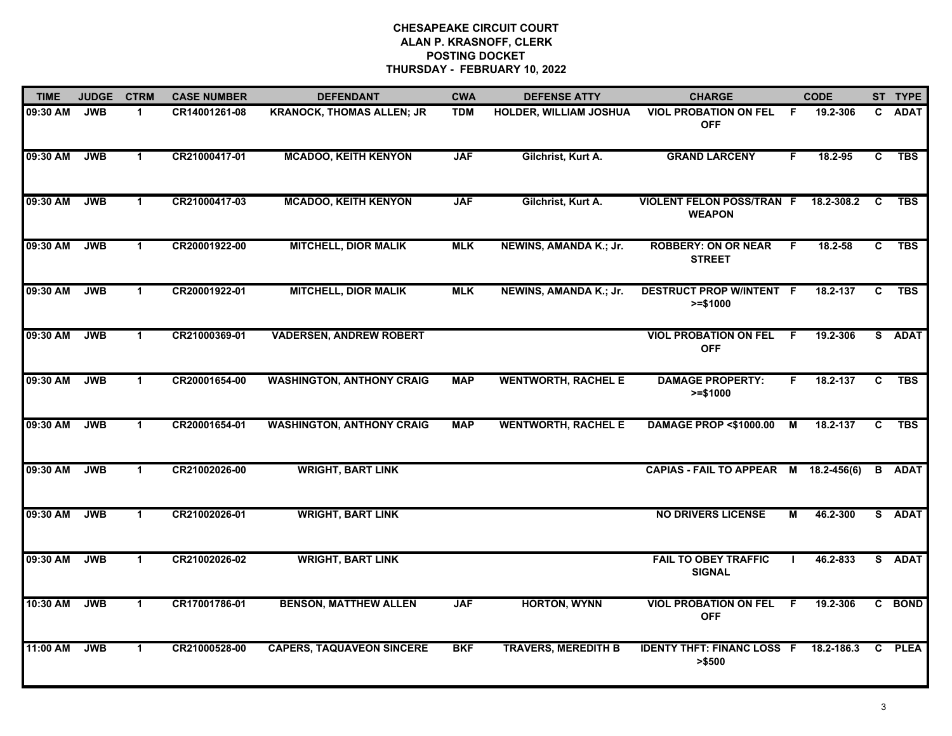| <b>TIME</b> | <b>JUDGE</b> | <b>CTRM</b>          | <b>CASE NUMBER</b> | <b>DEFENDANT</b>                 | <b>CWA</b> | <b>DEFENSE ATTY</b>        | <b>CHARGE</b>                                     |    | <b>CODE</b> |              | ST TYPE       |
|-------------|--------------|----------------------|--------------------|----------------------------------|------------|----------------------------|---------------------------------------------------|----|-------------|--------------|---------------|
| 09:30 AM    | <b>JWB</b>   | $\mathbf{1}$         | CR14001261-08      | <b>KRANOCK, THOMAS ALLEN; JR</b> | <b>TDM</b> | HOLDER, WILLIAM JOSHUA     | <b>VIOL PROBATION ON FEL</b><br><b>OFF</b>        | -F | 19.2-306    | $\mathbf{c}$ | <b>ADAT</b>   |
| 09:30 AM    | <b>JWB</b>   | $\blacktriangleleft$ | CR21000417-01      | <b>MCADOO, KEITH KENYON</b>      | <b>JAF</b> | Gilchrist, Kurt A.         | <b>GRAND LARCENY</b>                              | F. | 18.2-95     | C.           | <b>TBS</b>    |
| 09:30 AM    | <b>JWB</b>   | $\blacktriangleleft$ | CR21000417-03      | <b>MCADOO, KEITH KENYON</b>      | <b>JAF</b> | Gilchrist, Kurt A.         | <b>VIOLENT FELON POSS/TRAN F</b><br><b>WEAPON</b> |    | 18.2-308.2  | C            | <b>TBS</b>    |
| 09:30 AM    | <b>JWB</b>   | 1.                   | CR20001922-00      | <b>MITCHELL, DIOR MALIK</b>      | <b>MLK</b> | NEWINS, AMANDA K.; Jr.     | <b>ROBBERY: ON OR NEAR</b><br><b>STREET</b>       | F  | 18.2-58     | C.           | <b>TBS</b>    |
| 09:30 AM    | <b>JWB</b>   | $\mathbf{1}$         | CR20001922-01      | <b>MITCHELL, DIOR MALIK</b>      | <b>MLK</b> | NEWINS, AMANDA K.; Jr.     | <b>DESTRUCT PROP W/INTENT F</b><br>$>= $1000$     |    | 18.2-137    | C.           | <b>TBS</b>    |
| 09:30 AM    | <b>JWB</b>   | $\blacktriangleleft$ | CR21000369-01      | <b>VADERSEN, ANDREW ROBERT</b>   |            |                            | <b>VIOL PROBATION ON FEL</b><br><b>OFF</b>        | -F | 19.2-306    |              | S ADAT        |
| 09:30 AM    | <b>JWB</b>   | $\mathbf{1}$         | CR20001654-00      | <b>WASHINGTON, ANTHONY CRAIG</b> | <b>MAP</b> | <b>WENTWORTH, RACHEL E</b> | <b>DAMAGE PROPERTY:</b><br>$>= $1000$             | F. | 18.2-137    | C            | <b>TBS</b>    |
| 09:30 AM    | <b>JWB</b>   | $\blacktriangleleft$ | CR20001654-01      | <b>WASHINGTON, ANTHONY CRAIG</b> | <b>MAP</b> | <b>WENTWORTH, RACHEL E</b> | <b>DAMAGE PROP &lt;\$1000.00</b>                  | М  | 18.2-137    | C.           | <b>TBS</b>    |
| 09:30 AM    | <b>JWB</b>   | 1                    | CR21002026-00      | <b>WRIGHT, BART LINK</b>         |            |                            | CAPIAS - FAIL TO APPEAR M 18.2-456(6)             |    |             |              | <b>B</b> ADAT |
| 09:30 AM    | <b>JWB</b>   | $\blacktriangleleft$ | CR21002026-01      | <b>WRIGHT, BART LINK</b>         |            |                            | <b>NO DRIVERS LICENSE</b>                         | М  | 46.2-300    |              | S ADAT        |
| 09:30 AM    | <b>JWB</b>   | $\blacktriangleleft$ | CR21002026-02      | <b>WRIGHT, BART LINK</b>         |            |                            | <b>FAIL TO OBEY TRAFFIC</b><br><b>SIGNAL</b>      |    | 46.2-833    |              | S ADAT        |
| 10:30 AM    | <b>JWB</b>   | $\blacktriangleleft$ | CR17001786-01      | <b>BENSON, MATTHEW ALLEN</b>     | <b>JAF</b> | <b>HORTON, WYNN</b>        | <b>VIOL PROBATION ON FEL</b><br><b>OFF</b>        | F. | 19.2-306    |              | C BOND        |
| 11:00 AM    | <b>JWB</b>   | $\blacktriangleleft$ | CR21000528-00      | <b>CAPERS, TAQUAVEON SINCERE</b> | <b>BKF</b> | <b>TRAVERS, MEREDITH B</b> | <b>IDENTY THFT: FINANC LOSS F</b><br>> \$500      |    | 18.2-186.3  | C.           | <b>PLEA</b>   |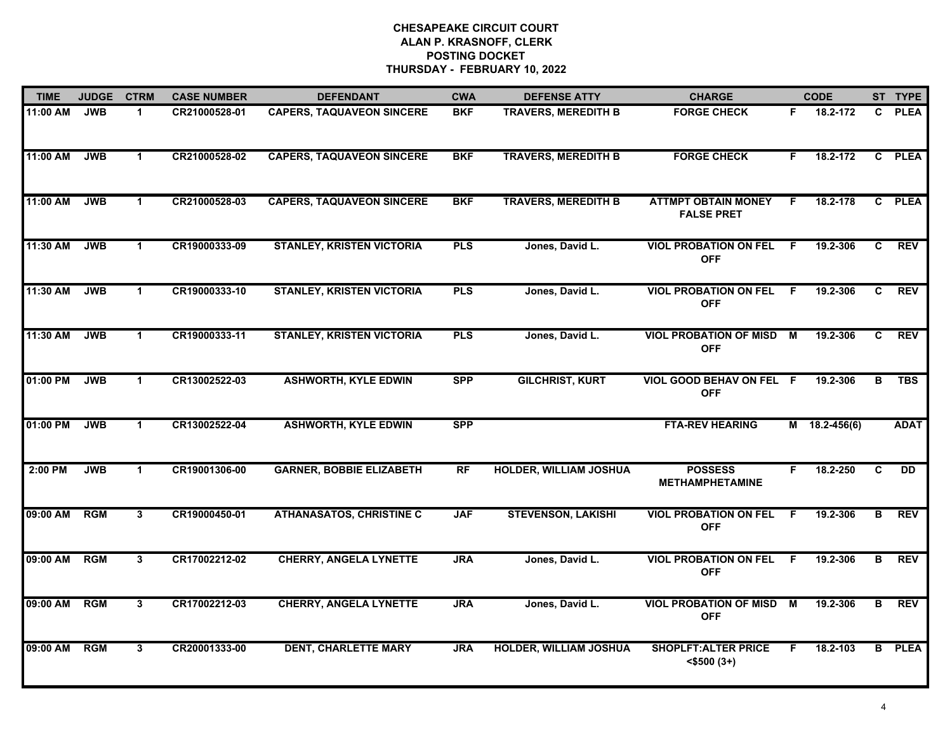| <b>TIME</b>  | <b>JUDGE</b> | <b>CTRM</b>          | <b>CASE NUMBER</b> | <b>DEFENDANT</b>                 | <b>CWA</b> | <b>DEFENSE ATTY</b>           | <b>CHARGE</b>                                   |    | <b>CODE</b>     |    | ST TYPE       |
|--------------|--------------|----------------------|--------------------|----------------------------------|------------|-------------------------------|-------------------------------------------------|----|-----------------|----|---------------|
| 11:00 AM     | <b>JWB</b>   | $\blacktriangleleft$ | CR21000528-01      | <b>CAPERS, TAQUAVEON SINCERE</b> | <b>BKF</b> | <b>TRAVERS, MEREDITH B</b>    | <b>FORGE CHECK</b>                              | F. | 18.2-172        | C. | <b>PLEA</b>   |
| 11:00 AM     | <b>JWB</b>   | $\blacktriangleleft$ | CR21000528-02      | <b>CAPERS, TAQUAVEON SINCERE</b> | <b>BKF</b> | <b>TRAVERS, MEREDITH B</b>    | <b>FORGE CHECK</b>                              | F. | 18.2-172        |    | C PLEA        |
| 11:00 AM     | <b>JWB</b>   | $\blacktriangleleft$ | CR21000528-03      | <b>CAPERS, TAQUAVEON SINCERE</b> | <b>BKF</b> | <b>TRAVERS, MEREDITH B</b>    | <b>ATTMPT OBTAIN MONEY</b><br><b>FALSE PRET</b> | F. | 18.2-178        |    | C PLEA        |
| 11:30 AM     | <b>JWB</b>   | 1                    | CR19000333-09      | <b>STANLEY, KRISTEN VICTORIA</b> | <b>PLS</b> | Jones, David L.               | <b>VIOL PROBATION ON FEL</b><br><b>OFF</b>      | F. | 19.2-306        | C. | <b>REV</b>    |
| 11:30 AM     | <b>JWB</b>   | $\blacktriangleleft$ | CR19000333-10      | <b>STANLEY, KRISTEN VICTORIA</b> | <b>PLS</b> | Jones, David L.               | <b>VIOL PROBATION ON FEL</b><br><b>OFF</b>      | F. | 19.2-306        | C. | <b>REV</b>    |
| 11:30 AM     | <b>JWB</b>   | $\blacktriangleleft$ | CR19000333-11      | <b>STANLEY, KRISTEN VICTORIA</b> | <b>PLS</b> | Jones, David L.               | <b>VIOL PROBATION OF MISD M</b><br><b>OFF</b>   |    | 19.2-306        | C. | <b>REV</b>    |
| 01:00 PM     | <b>JWB</b>   | $\blacktriangleleft$ | CR13002522-03      | <b>ASHWORTH, KYLE EDWIN</b>      | <b>SPP</b> | <b>GILCHRIST, KURT</b>        | VIOL GOOD BEHAV ON FEL F<br><b>OFF</b>          |    | 19.2-306        | в  | <b>TBS</b>    |
| 01:00 PM     | <b>JWB</b>   | $\mathbf{1}$         | CR13002522-04      | <b>ASHWORTH, KYLE EDWIN</b>      | <b>SPP</b> |                               | <b>FTA-REV HEARING</b>                          |    | $M$ 18.2-456(6) |    | <b>ADAT</b>   |
| $2:00$ PM    | <b>JWB</b>   | $\mathbf 1$          | CR19001306-00      | <b>GARNER, BOBBIE ELIZABETH</b>  | RF         | <b>HOLDER, WILLIAM JOSHUA</b> | <b>POSSESS</b><br><b>METHAMPHETAMINE</b>        | F. | 18.2-250        | C  | <b>DD</b>     |
| 09:00 AM     | <b>RGM</b>   | 3                    | CR19000450-01      | <b>ATHANASATOS, CHRISTINE C</b>  | <b>JAF</b> | <b>STEVENSON, LAKISHI</b>     | <b>VIOL PROBATION ON FEL</b><br><b>OFF</b>      | F. | 19.2-306        | B  | <b>REV</b>    |
| 09:00 AM RGM |              | 3                    | CR17002212-02      | <b>CHERRY, ANGELA LYNETTE</b>    | <b>JRA</b> | Jones, David L.               | <b>VIOL PROBATION ON FEL</b><br><b>OFF</b>      | -F | 19.2-306        | в  | REV           |
| 09:00 AM     | RGM          | $\mathbf{3}$         | CR17002212-03      | <b>CHERRY, ANGELA LYNETTE</b>    | <b>JRA</b> | Jones, David L.               | <b>VIOL PROBATION OF MISD M</b><br><b>OFF</b>   |    | 19.2-306        | в  | <b>REV</b>    |
| 09:00 AM     | <b>RGM</b>   | $\mathbf{3}$         | CR20001333-00      | <b>DENT, CHARLETTE MARY</b>      | <b>JRA</b> | <b>HOLDER, WILLIAM JOSHUA</b> | <b>SHOPLFT: ALTER PRICE</b><br>$<$ \$500 $(3+)$ | F  | 18.2-103        |    | <b>B</b> PLEA |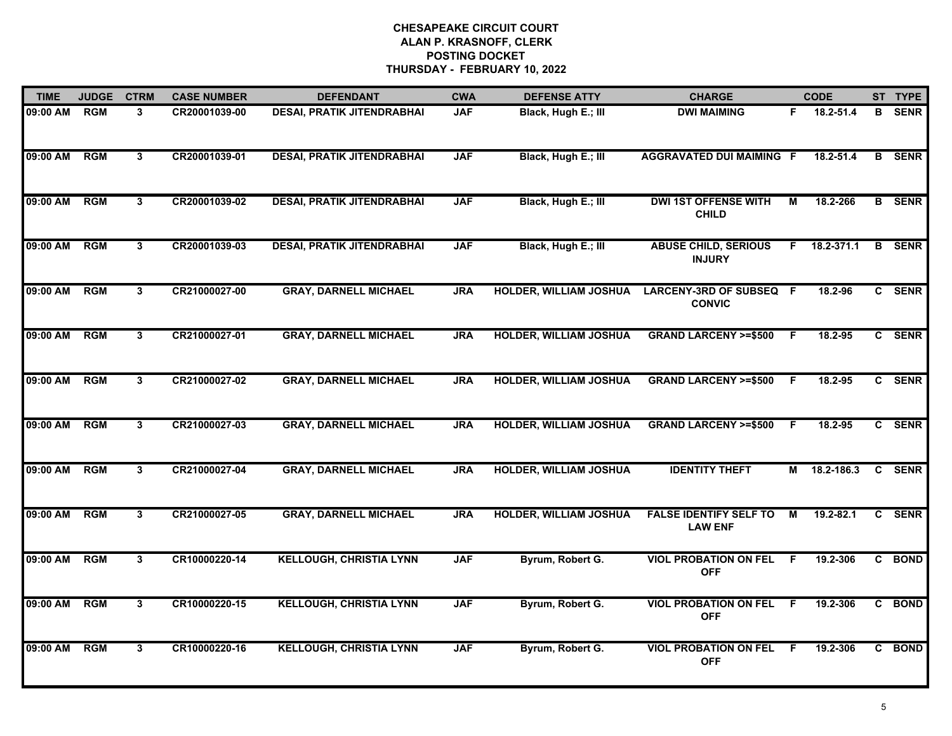| <b>TIME</b> | <b>JUDGE</b> | <b>CTRM</b>    | <b>CASE NUMBER</b> | <b>DEFENDANT</b>                  | <b>CWA</b> | <b>DEFENSE ATTY</b>           | <b>CHARGE</b>                                   |    | <b>CODE</b>        |              | ST TYPE       |
|-------------|--------------|----------------|--------------------|-----------------------------------|------------|-------------------------------|-------------------------------------------------|----|--------------------|--------------|---------------|
| 09:00 AM    | <b>RGM</b>   | 3              | CR20001039-00      | <b>DESAI, PRATIK JITENDRABHAI</b> | <b>JAF</b> | Black, Hugh E.; III           | <b>DWI MAIMING</b>                              | F. | 18.2-51.4          |              | <b>B</b> SENR |
| 09:00 AM    | RGM          | $\overline{3}$ | CR20001039-01      | <b>DESAI, PRATIK JITENDRABHAI</b> | <b>JAF</b> | Black, Hugh E.; III           | <b>AGGRAVATED DUI MAIMING F</b>                 |    | $18.2 - 51.4$      | В            | <b>SENR</b>   |
| 09:00 AM    | RGM          | $\mathbf{3}$   | CR20001039-02      | <b>DESAI, PRATIK JITENDRABHAI</b> | <b>JAF</b> | Black, Hugh E.; III           | <b>DWI 1ST OFFENSE WITH</b><br><b>CHILD</b>     | М  | 18.2-266           |              | <b>B</b> SENR |
| 09:00 AM    | <b>RGM</b>   | 3              | CR20001039-03      | <b>DESAI, PRATIK JITENDRABHAI</b> | <b>JAF</b> | Black, Hugh E.; III           | <b>ABUSE CHILD, SERIOUS</b><br><b>INJURY</b>    |    | $F = 18.2 - 371.1$ |              | <b>B</b> SENR |
| 09:00 AM    | <b>RGM</b>   | 3              | CR21000027-00      | <b>GRAY, DARNELL MICHAEL</b>      | <b>JRA</b> | <b>HOLDER, WILLIAM JOSHUA</b> | LARCENY-3RD OF SUBSEQ F<br><b>CONVIC</b>        |    | 18.2-96            |              | C SENR        |
| 09:00 AM    | RGM          | 3              | CR21000027-01      | <b>GRAY, DARNELL MICHAEL</b>      | <b>JRA</b> | <b>HOLDER, WILLIAM JOSHUA</b> | <b>GRAND LARCENY &gt;=\$500</b>                 | -F | 18.2-95            |              | C SENR        |
| 09:00 AM    | RGM          | 3              | CR21000027-02      | <b>GRAY, DARNELL MICHAEL</b>      | <b>JRA</b> | <b>HOLDER, WILLIAM JOSHUA</b> | <b>GRAND LARCENY &gt;=\$500</b>                 | -F | 18.2-95            |              | C SENR        |
| 09:00 AM    | <b>RGM</b>   | $\overline{3}$ | CR21000027-03      | <b>GRAY, DARNELL MICHAEL</b>      | <b>JRA</b> | <b>HOLDER, WILLIAM JOSHUA</b> | <b>GRAND LARCENY &gt;=\$500</b>                 | F. | 18.2-95            |              | C SENR        |
| 09:00 AM    | <b>RGM</b>   | 3              | CR21000027-04      | <b>GRAY, DARNELL MICHAEL</b>      | <b>JRA</b> | HOLDER, WILLIAM JOSHUA        | <b>IDENTITY THEFT</b>                           | М  | 18.2-186.3         | $\mathbf{c}$ | <b>SENR</b>   |
| 09:00 AM    | <b>RGM</b>   | 3              | CR21000027-05      | <b>GRAY, DARNELL MICHAEL</b>      | <b>JRA</b> | <b>HOLDER, WILLIAM JOSHUA</b> | <b>FALSE IDENTIFY SELF TO</b><br><b>LAW ENF</b> | М  | 19.2-82.1          |              | C SENR        |
| 09:00 AM    | RGM          | $\mathbf{3}$   | CR10000220-14      | <b>KELLOUGH, CHRISTIA LYNN</b>    | <b>JAF</b> | Byrum, Robert G.              | <b>VIOL PROBATION ON FEL</b><br><b>OFF</b>      | F  | 19.2-306           |              | C BOND        |
| 09:00 AM    | <b>RGM</b>   | $\mathbf{3}$   | CR10000220-15      | <b>KELLOUGH, CHRISTIA LYNN</b>    | <b>JAF</b> | Byrum, Robert G.              | <b>VIOL PROBATION ON FEL</b><br><b>OFF</b>      | F. | 19.2-306           |              | C BOND        |
| 09:00 AM    | <b>RGM</b>   | $\overline{3}$ | CR10000220-16      | <b>KELLOUGH, CHRISTIA LYNN</b>    | <b>JAF</b> | Byrum, Robert G.              | <b>VIOL PROBATION ON FEL</b><br><b>OFF</b>      | F  | 19.2-306           |              | C BOND        |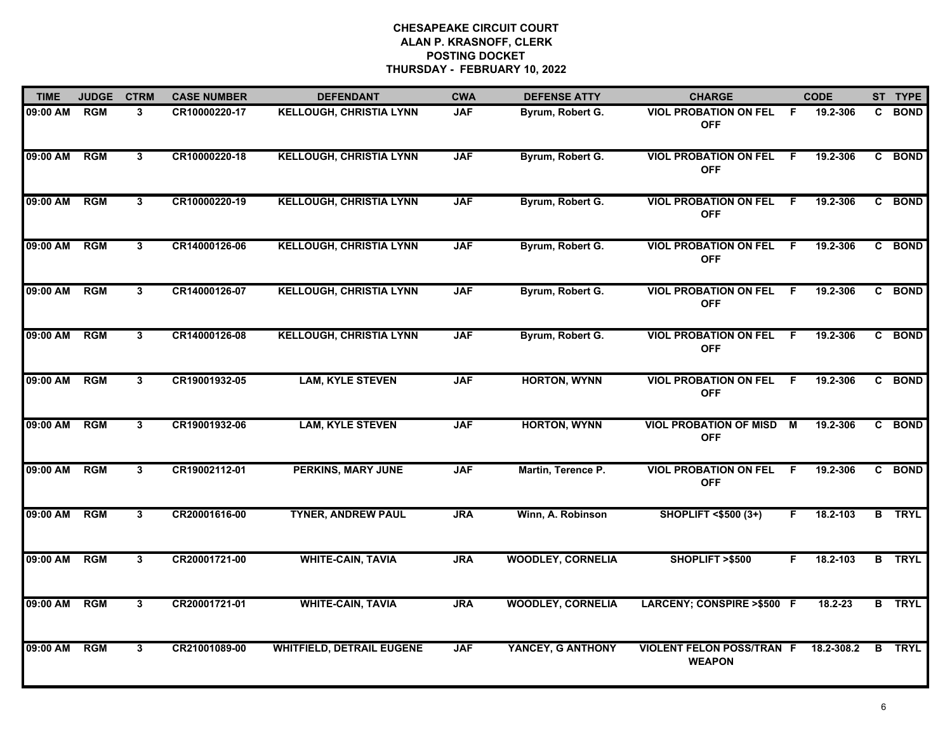| <b>TIME</b> | <b>JUDGE</b> | <b>CTRM</b>    | <b>CASE NUMBER</b> | <b>DEFENDANT</b>                 | <b>CWA</b> | <b>DEFENSE ATTY</b>      | <b>CHARGE</b>                                     |    | <b>CODE</b> |              | ST TYPE       |
|-------------|--------------|----------------|--------------------|----------------------------------|------------|--------------------------|---------------------------------------------------|----|-------------|--------------|---------------|
| 09:00 AM    | <b>RGM</b>   | 3              | CR10000220-17      | <b>KELLOUGH, CHRISTIA LYNN</b>   | <b>JAF</b> | Byrum, Robert G.         | <b>VIOL PROBATION ON FEL</b><br><b>OFF</b>        | -F | 19.2-306    |              | C BOND        |
| 09:00 AM    | RGM          | 3              | CR10000220-18      | <b>KELLOUGH, CHRISTIA LYNN</b>   | <b>JAF</b> | Byrum, Robert G.         | <b>VIOL PROBATION ON FEL</b><br><b>OFF</b>        | -F | 19.2-306    |              | C BOND        |
| 09:00 AM    | RGM          | $\overline{3}$ | CR10000220-19      | <b>KELLOUGH, CHRISTIA LYNN</b>   | <b>JAF</b> | Byrum, Robert G.         | <b>VIOL PROBATION ON FEL</b><br><b>OFF</b>        | F. | 19.2-306    |              | C BOND        |
| 09:00 AM    | <b>RGM</b>   | 3              | CR14000126-06      | <b>KELLOUGH, CHRISTIA LYNN</b>   | <b>JAF</b> | Byrum, Robert G.         | <b>VIOL PROBATION ON FEL</b><br><b>OFF</b>        | F  | 19.2-306    |              | C BOND        |
| 09:00 AM    | <b>RGM</b>   | 3              | CR14000126-07      | <b>KELLOUGH, CHRISTIA LYNN</b>   | <b>JAF</b> | Byrum, Robert G.         | <b>VIOL PROBATION ON FEL</b><br><b>OFF</b>        | -F | 19.2-306    |              | C BOND        |
| 09:00 AM    | <b>RGM</b>   | 3              | CR14000126-08      | <b>KELLOUGH, CHRISTIA LYNN</b>   | <b>JAF</b> | Byrum, Robert G.         | <b>VIOL PROBATION ON FEL</b><br><b>OFF</b>        | -F | 19.2-306    |              | C BOND        |
| 09:00 AM    | <b>RGM</b>   | $\mathbf{3}$   | CR19001932-05      | <b>LAM, KYLE STEVEN</b>          | <b>JAF</b> | <b>HORTON, WYNN</b>      | <b>VIOL PROBATION ON FEL</b><br><b>OFF</b>        | -F | 19.2-306    | $\mathbf{c}$ | <b>BOND</b>   |
| 09:00 AM    | <b>RGM</b>   | $\mathbf{3}$   | CR19001932-06      | <b>LAM, KYLE STEVEN</b>          | <b>JAF</b> | <b>HORTON, WYNN</b>      | <b>VIOL PROBATION OF MISD</b><br><b>OFF</b>       | M  | 19.2-306    |              | C BOND        |
| 09:00 AM    | <b>RGM</b>   | 3              | CR19002112-01      | <b>PERKINS, MARY JUNE</b>        | <b>JAF</b> | Martin, Terence P.       | <b>VIOL PROBATION ON FEL</b><br><b>OFF</b>        | F. | 19.2-306    |              | C BOND        |
| 09:00 AM    | <b>RGM</b>   | 3              | CR20001616-00      | <b>TYNER, ANDREW PAUL</b>        | <b>JRA</b> | Winn, A. Robinson        | <b>SHOPLIFT &lt;\$500 (3+)</b>                    | F. | 18.2-103    |              | <b>B</b> TRYL |
| 09:00 AM    | <b>RGM</b>   | 3              | CR20001721-00      | <b>WHITE-CAIN, TAVIA</b>         | <b>JRA</b> | <b>WOODLEY, CORNELIA</b> | SHOPLIFT >\$500                                   | F. | 18.2-103    |              | <b>B</b> TRYL |
| 09:00 AM    | <b>RGM</b>   | 3              | CR20001721-01      | <b>WHITE-CAIN, TAVIA</b>         | <b>JRA</b> | <b>WOODLEY, CORNELIA</b> | LARCENY; CONSPIRE >\$500 F                        |    | 18.2-23     |              | <b>B</b> TRYL |
| 09:00 AM    | <b>RGM</b>   | $\mathbf{3}$   | CR21001089-00      | <b>WHITFIELD, DETRAIL EUGENE</b> | <b>JAF</b> | YANCEY, G ANTHONY        | <b>VIOLENT FELON POSS/TRAN F</b><br><b>WEAPON</b> |    | 18.2-308.2  |              | <b>B</b> TRYL |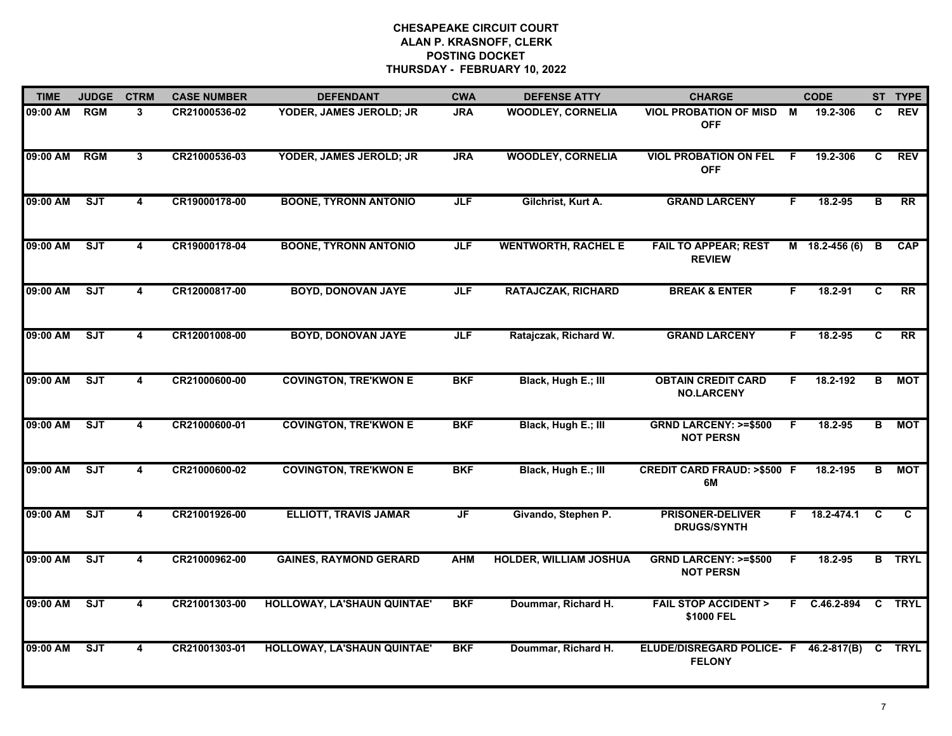| <b>TIME</b> | <b>JUDGE</b> | <b>CTRM</b>             | <b>CASE NUMBER</b> | <b>DEFENDANT</b>              | <b>CWA</b> | <b>DEFENSE ATTY</b>           | <b>CHARGE</b>                                          |     | <b>CODE</b>      |                         | ST TYPE       |
|-------------|--------------|-------------------------|--------------------|-------------------------------|------------|-------------------------------|--------------------------------------------------------|-----|------------------|-------------------------|---------------|
| 09:00 AM    | <b>RGM</b>   | 3                       | CR21000536-02      | YODER, JAMES JEROLD; JR       | <b>JRA</b> | <b>WOODLEY, CORNELIA</b>      | VIOL PROBATION OF MISD M<br><b>OFF</b>                 |     | 19.2-306         | C.                      | <b>REV</b>    |
| 09:00 AM    | RGM          | $\overline{3}$          | CR21000536-03      | YODER, JAMES JEROLD; JR       | <b>JRA</b> | <b>WOODLEY, CORNELIA</b>      | <b>VIOL PROBATION ON FEL</b><br><b>OFF</b>             | - F | 19.2-306         | C.                      | REV           |
| 09:00 AM    | ST           | $\overline{\mathbf{4}}$ | CR19000178-00      | <b>BOONE, TYRONN ANTONIO</b>  | <b>JLF</b> | Gilchrist, Kurt A.            | <b>GRAND LARCENY</b>                                   | F.  | 18.2-95          | $\overline{\mathsf{B}}$ | RR            |
| 09:00 AM    | <b>SJT</b>   | 4                       | CR19000178-04      | <b>BOONE, TYRONN ANTONIO</b>  | <b>JLF</b> | <b>WENTWORTH, RACHEL E</b>    | <b>FAIL TO APPEAR; REST</b><br><b>REVIEW</b>           |     | $M$ 18.2-456 (6) | B                       | <b>CAP</b>    |
| 09:00 AM    | SJT          | 4                       | CR12000817-00      | <b>BOYD, DONOVAN JAYE</b>     | <b>JLF</b> | <b>RATAJCZAK, RICHARD</b>     | <b>BREAK &amp; ENTER</b>                               | F.  | 18.2-91          | C                       | <b>RR</b>     |
| 09:00 AM    | ST           | 4                       | CR12001008-00      | <b>BOYD, DONOVAN JAYE</b>     | <b>JLF</b> | Ratajczak, Richard W.         | <b>GRAND LARCENY</b>                                   | F.  | 18.2-95          | C                       | <b>RR</b>     |
| 09:00 AM    | <b>SJT</b>   | 4                       | CR21000600-00      | <b>COVINGTON, TRE'KWON E</b>  | <b>BKF</b> | Black, Hugh E.; III           | <b>OBTAIN CREDIT CARD</b><br><b>NO.LARCENY</b>         | F   | 18.2-192         | В                       | MOT           |
| 09:00 AM    | ST           | 4                       | CR21000600-01      | <b>COVINGTON, TRE'KWON E</b>  | <b>BKF</b> | Black, Hugh E.; III           | <b>GRND LARCENY: &gt;=\$500</b><br><b>NOT PERSN</b>    | F   | 18.2-95          | B.                      | <b>MOT</b>    |
| 09:00 AM    | <b>SJT</b>   | 4                       | CR21000600-02      | <b>COVINGTON, TRE'KWON E</b>  | <b>BKF</b> | Black, Hugh E.; III           | <b>CREDIT CARD FRAUD: &gt;\$500 F</b><br>6M            |     | 18.2-195         | в                       | <b>MOT</b>    |
| 09:00 AM    | SJT          | 4                       | CR21001926-00      | <b>ELLIOTT, TRAVIS JAMAR</b>  | JF         | Givando, Stephen P.           | <b>PRISONER-DELIVER</b><br><b>DRUGS/SYNTH</b>          | F.  | 18.2-474.1       | C                       | $\mathbf{C}$  |
| 09:00 AM    | SJT          | $\overline{\mathbf{4}}$ | CR21000962-00      | <b>GAINES, RAYMOND GERARD</b> | <b>AHM</b> | <b>HOLDER, WILLIAM JOSHUA</b> | <b>GRND LARCENY: &gt;=\$500</b><br><b>NOT PERSN</b>    | E   | 18.2-95          |                         | <b>B</b> TRYL |
| 09:00 AM    | SJT          | 4                       | CR21001303-00      | HOLLOWAY, LA'SHAUN QUINTAE'   | <b>BKF</b> | Doummar, Richard H.           | <b>FAIL STOP ACCIDENT &gt;</b><br>\$1000 FEL           |     | F C.46.2-894 C   |                         | <b>TRYL</b>   |
| 09:00 AM    | <b>SJT</b>   | 4                       | CR21001303-01      | HOLLOWAY, LA'SHAUN QUINTAE'   | <b>BKF</b> | Doummar, Richard H.           | ELUDE/DISREGARD POLICE- F 46.2-817(B)<br><b>FELONY</b> |     |                  | C.                      | <b>TRYL</b>   |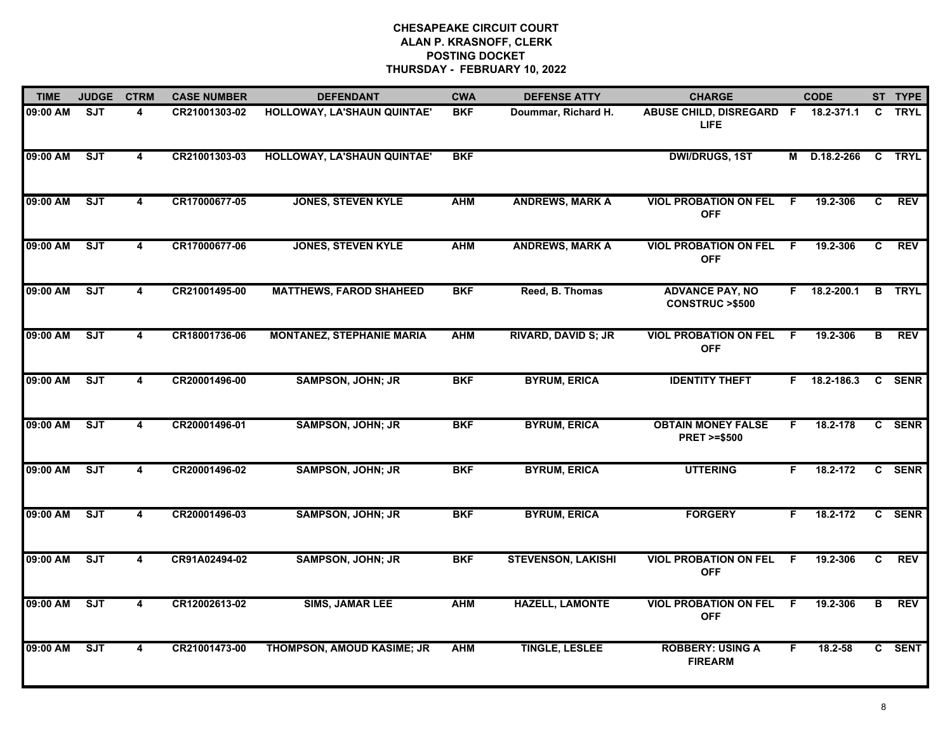| <b>TIME</b> | <b>JUDGE</b> | <b>CTRM</b>             | <b>CASE NUMBER</b> | <b>DEFENDANT</b>                 | <b>CWA</b> | <b>DEFENSE ATTY</b>        | <b>CHARGE</b>                                       |     | <b>CODE</b>    |   | ST TYPE       |
|-------------|--------------|-------------------------|--------------------|----------------------------------|------------|----------------------------|-----------------------------------------------------|-----|----------------|---|---------------|
| 09:00 AM    | <b>SJT</b>   | 4                       | CR21001303-02      | HOLLOWAY, LA'SHAUN QUINTAE'      | <b>BKF</b> | Doummar, Richard H.        | ABUSE CHILD, DISREGARD F<br>LIFE.                   |     | 18.2-371.1     | C | <b>TRYL</b>   |
| 09:00 AM    | ST           | 4                       | CR21001303-03      | HOLLOWAY, LA'SHAUN QUINTAE'      | <b>BKF</b> |                            | <b>DWI/DRUGS, 1ST</b>                               | М   | D.18.2-266     |   | <b>C</b> TRYL |
| 09:00 AM    | ST           | 4                       | CR17000677-05      | <b>JONES, STEVEN KYLE</b>        | <b>AHM</b> | <b>ANDREWS, MARK A</b>     | <b>VIOL PROBATION ON FEL</b><br><b>OFF</b>          | F.  | 19.2-306       | C | <b>REV</b>    |
| 09:00 AM    | <b>SJT</b>   | 4                       | CR17000677-06      | <b>JONES, STEVEN KYLE</b>        | <b>AHM</b> | <b>ANDREWS, MARK A</b>     | <b>VIOL PROBATION ON FEL</b><br><b>OFF</b>          | F   | 19.2-306       | C | <b>REV</b>    |
| 09:00 AM    | ST           | 4                       | CR21001495-00      | <b>MATTHEWS, FAROD SHAHEED</b>   | <b>BKF</b> | Reed, B. Thomas            | <b>ADVANCE PAY, NO</b><br><b>CONSTRUC &gt;\$500</b> |     | $F$ 18.2-200.1 |   | <b>B</b> TRYL |
| 09:00 AM    | ST           | $\overline{\mathbf{4}}$ | CR18001736-06      | <b>MONTANEZ, STEPHANIE MARIA</b> | <b>AHM</b> | <b>RIVARD, DAVID S; JR</b> | <b>VIOL PROBATION ON FEL</b><br><b>OFF</b>          | - F | 19.2-306       | B | <b>REV</b>    |
| 09:00 AM    | <b>SJT</b>   | 4                       | CR20001496-00      | <b>SAMPSON, JOHN; JR</b>         | <b>BKF</b> | <b>BYRUM, ERICA</b>        | <b>IDENTITY THEFT</b>                               | F.  | 18.2-186.3     |   | C SENR        |
| 09:00 AM    | ST           | $\overline{\mathbf{4}}$ | CR20001496-01      | <b>SAMPSON, JOHN; JR</b>         | <b>BKF</b> | <b>BYRUM, ERICA</b>        | <b>OBTAIN MONEY FALSE</b><br><b>PRET &gt;=\$500</b> | F.  | 18.2-178       |   | C SENR        |
| 09:00 AM    | SJT          | 4                       | CR20001496-02      | <b>SAMPSON, JOHN; JR</b>         | <b>BKF</b> | <b>BYRUM, ERICA</b>        | <b>UTTERING</b>                                     | F.  | 18.2-172       |   | C SENR        |
| 09:00 AM    | SJT          | 4                       | CR20001496-03      | <b>SAMPSON, JOHN; JR</b>         | <b>BKF</b> | <b>BYRUM, ERICA</b>        | <b>FORGERY</b>                                      | F.  | 18.2-172       |   | C SENR        |
| 09:00 AM    | ST           | $\overline{\mathbf{4}}$ | CR91A02494-02      | <b>SAMPSON, JOHN; JR</b>         | <b>BKF</b> | <b>STEVENSON, LAKISHI</b>  | <b>VIOL PROBATION ON FEL</b><br><b>OFF</b>          | -F  | 19.2-306       | C | <b>REV</b>    |
| 09:00 AM    | ST           | $\overline{\mathbf{4}}$ | CR12002613-02      | <b>SIMS, JAMAR LEE</b>           | <b>AHM</b> | <b>HAZELL, LAMONTE</b>     | <b>VIOL PROBATION ON FEL</b><br><b>OFF</b>          | - F | 19.2-306       | В | <b>REV</b>    |
| 09:00 AM    | ST           | $\overline{\mathbf{4}}$ | CR21001473-00      | THOMPSON, AMOUD KASIME; JR       | <b>AHM</b> | <b>TINGLE, LESLEE</b>      | <b>ROBBERY: USING A</b><br><b>FIREARM</b>           | F.  | 18.2-58        |   | C SENT        |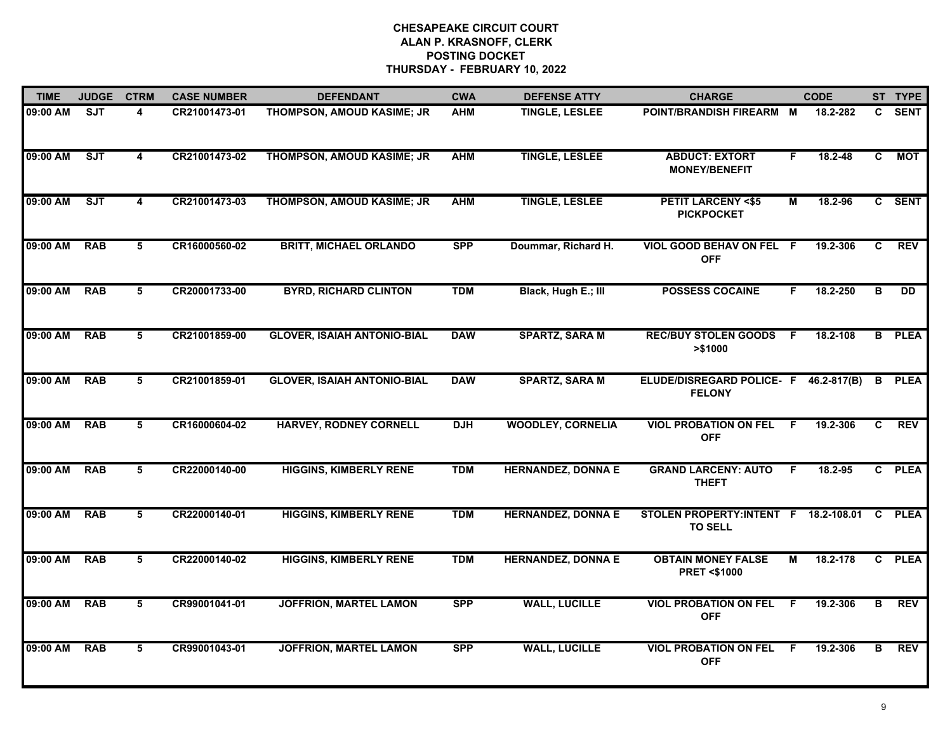| <b>TIME</b> | <b>JUDGE</b> | <b>CTRM</b>             | <b>CASE NUMBER</b> | <b>DEFENDANT</b>                   | <b>CWA</b> | <b>DEFENSE ATTY</b>       | <b>CHARGE</b>                                           |                | <b>CODE</b> |    | ST TYPE       |
|-------------|--------------|-------------------------|--------------------|------------------------------------|------------|---------------------------|---------------------------------------------------------|----------------|-------------|----|---------------|
| 09:00 AM    | <b>SJT</b>   | 4                       | CR21001473-01      | THOMPSON, AMOUD KASIME; JR         | <b>AHM</b> | <b>TINGLE, LESLEE</b>     | POINT/BRANDISH FIREARM M                                |                | 18.2-282    |    | C SENT        |
| 09:00 AM    | ST           | $\overline{\mathbf{4}}$ | CR21001473-02      | THOMPSON, AMOUD KASIME; JR         | <b>AHM</b> | <b>TINGLE, LESLEE</b>     | <b>ABDUCT: EXTORT</b><br><b>MONEY/BENEFIT</b>           | F              | 18.2-48     | C  | <b>MOT</b>    |
| 09:00 AM    | SJT          | $\overline{4}$          | CR21001473-03      | THOMPSON, AMOUD KASIME; JR         | <b>AHM</b> | <b>TINGLE, LESLEE</b>     | <b>PETIT LARCENY &lt;\$5</b><br><b>PICKPOCKET</b>       | $\overline{M}$ | 18.2-96     |    | C SENT        |
| 09:00 AM    | <b>RAB</b>   | 5                       | CR16000560-02      | <b>BRITT, MICHAEL ORLANDO</b>      | <b>SPP</b> | Doummar, Richard H.       | VIOL GOOD BEHAV ON FEL F<br><b>OFF</b>                  |                | 19.2-306    | C  | <b>REV</b>    |
| 09:00 AM    | <b>RAB</b>   | 5                       | CR20001733-00      | <b>BYRD, RICHARD CLINTON</b>       | <b>TDM</b> | Black, Hugh E.; III       | <b>POSSESS COCAINE</b>                                  | F.             | 18.2-250    | B  | <b>DD</b>     |
| 09:00 AM    | <b>RAB</b>   | 5                       | CR21001859-00      | <b>GLOVER, ISAIAH ANTONIO-BIAL</b> | <b>DAW</b> | <b>SPARTZ, SARA M</b>     | <b>REC/BUY STOLEN GOODS F</b><br>> \$1000               |                | 18.2-108    |    | <b>B</b> PLEA |
| 09:00 AM    | <b>RAB</b>   | 5                       | CR21001859-01      | <b>GLOVER, ISAIAH ANTONIO-BIAL</b> | <b>DAW</b> | <b>SPARTZ, SARA M</b>     | ELUDE/DISREGARD POLICE- F 46.2-817(B)<br><b>FELONY</b>  |                |             | B  | <b>PLEA</b>   |
| 09:00 AM    | <b>RAB</b>   | 5                       | CR16000604-02      | <b>HARVEY, RODNEY CORNELL</b>      | <b>DJH</b> | <b>WOODLEY, CORNELIA</b>  | <b>VIOL PROBATION ON FEL</b><br><b>OFF</b>              | F              | 19.2-306    | C  | <b>REV</b>    |
| 09:00 AM    | <b>RAB</b>   | 5                       | CR22000140-00      | <b>HIGGINS, KIMBERLY RENE</b>      | <b>TDM</b> | <b>HERNANDEZ, DONNA E</b> | <b>GRAND LARCENY: AUTO</b><br><b>THEFT</b>              | F.             | 18.2-95     |    | C PLEA        |
| 09:00 AM    | <b>RAB</b>   | 5                       | CR22000140-01      | <b>HIGGINS, KIMBERLY RENE</b>      | <b>TDM</b> | <b>HERNANDEZ, DONNA E</b> | STOLEN PROPERTY: INTENT F 18.2-108.01<br><b>TO SELL</b> |                |             |    | C PLEA        |
| 09:00 AM    | <b>RAB</b>   | 5                       | CR22000140-02      | <b>HIGGINS, KIMBERLY RENE</b>      | <b>TDM</b> | <b>HERNANDEZ, DONNA E</b> | <b>OBTAIN MONEY FALSE</b><br><b>PRET &lt;\$1000</b>     | М              | 18.2-178    |    | C PLEA        |
| 09:00 AM    | <b>RAB</b>   | 5                       | CR99001041-01      | <b>JOFFRION, MARTEL LAMON</b>      | <b>SPP</b> | <b>WALL, LUCILLE</b>      | <b>VIOL PROBATION ON FEL</b><br><b>OFF</b>              | -F             | 19.2-306    | В  | <b>REV</b>    |
| 09:00 AM    | <b>RAB</b>   | 5                       | CR99001043-01      | <b>JOFFRION, MARTEL LAMON</b>      | <b>SPP</b> | <b>WALL, LUCILLE</b>      | <b>VIOL PROBATION ON FEL</b><br><b>OFF</b>              | -F             | 19.2-306    | B. | <b>REV</b>    |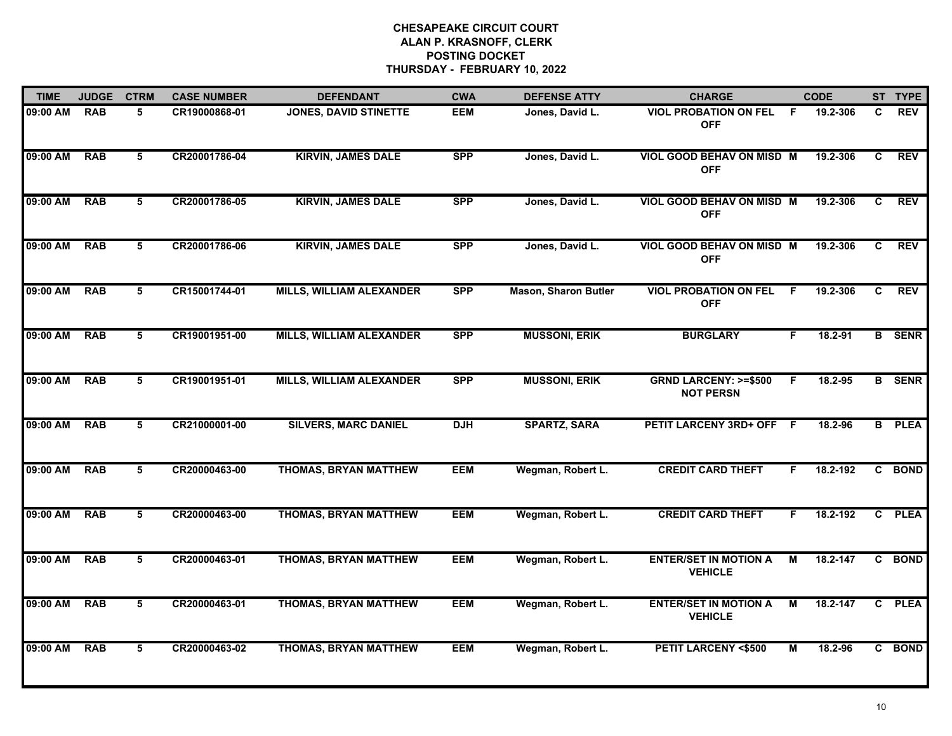| <b>TIME</b> | <b>JUDGE</b> | <b>CTRM</b>     | <b>CASE NUMBER</b> | <b>DEFENDANT</b>                | <b>CWA</b> | <b>DEFENSE ATTY</b>         | <b>CHARGE</b>                                       |                | <b>CODE</b> |                | ST TYPE       |
|-------------|--------------|-----------------|--------------------|---------------------------------|------------|-----------------------------|-----------------------------------------------------|----------------|-------------|----------------|---------------|
| 09:00 AM    | <b>RAB</b>   | 5               | CR19000868-01      | <b>JONES, DAVID STINETTE</b>    | <b>EEM</b> | Jones, David L.             | <b>VIOL PROBATION ON FEL</b><br><b>OFF</b>          | - F            | 19.2-306    | C.             | <b>REV</b>    |
| 09:00 AM    | <b>RAB</b>   | 5               | CR20001786-04      | <b>KIRVIN, JAMES DALE</b>       | <b>SPP</b> | Jones, David L.             | VIOL GOOD BEHAV ON MISD M<br><b>OFF</b>             |                | 19.2-306    | C              | <b>REV</b>    |
| 09:00 AM    | <b>RAB</b>   | $5\overline{5}$ | CR20001786-05      | <b>KIRVIN, JAMES DALE</b>       | <b>SPP</b> | Jones, David L.             | <b>VIOL GOOD BEHAV ON MISD M</b><br><b>OFF</b>      |                | 19.2-306    | C.             | <b>REV</b>    |
| 09:00 AM    | <b>RAB</b>   | 5               | CR20001786-06      | <b>KIRVIN, JAMES DALE</b>       | <b>SPP</b> | Jones, David L.             | <b>VIOL GOOD BEHAV ON MISD M</b><br><b>OFF</b>      |                | 19.2-306    | C.             | <b>REV</b>    |
| 09:00 AM    | <b>RAB</b>   | 5               | CR15001744-01      | <b>MILLS, WILLIAM ALEXANDER</b> | <b>SPP</b> | <b>Mason, Sharon Butler</b> | <b>VIOL PROBATION ON FEL</b><br><b>OFF</b>          | -F             | 19.2-306    | C              | <b>REV</b>    |
| 09:00 AM    | <b>RAB</b>   | 5               | CR19001951-00      | <b>MILLS, WILLIAM ALEXANDER</b> | <b>SPP</b> | <b>MUSSONI, ERIK</b>        | <b>BURGLARY</b>                                     | F.             | 18.2-91     |                | <b>B</b> SENR |
| 09:00 AM    | <b>RAB</b>   | 5               | CR19001951-01      | <b>MILLS, WILLIAM ALEXANDER</b> | <b>SPP</b> | <b>MUSSONI, ERIK</b>        | <b>GRND LARCENY: &gt;=\$500</b><br><b>NOT PERSN</b> | E              | 18.2-95     |                | <b>B</b> SENR |
| 09:00 AM    | <b>RAB</b>   | $5\overline{)}$ | CR21000001-00      | <b>SILVERS, MARC DANIEL</b>     | <b>DJH</b> | <b>SPARTZ, SARA</b>         | PETIT LARCENY 3RD+ OFF F                            |                | 18.2-96     |                | <b>B</b> PLEA |
| 09:00 AM    | <b>RAB</b>   | 5               | CR20000463-00      | <b>THOMAS, BRYAN MATTHEW</b>    | <b>EEM</b> | Wegman, Robert L.           | <b>CREDIT CARD THEFT</b>                            | F              | 18.2-192    |                | C BOND        |
| 09:00 AM    | <b>RAB</b>   | 5               | CR20000463-00      | <b>THOMAS, BRYAN MATTHEW</b>    | <b>EEM</b> | Wegman, Robert L.           | <b>CREDIT CARD THEFT</b>                            | F.             | 18.2-192    | $\overline{c}$ | <b>PLEA</b>   |
| 09:00 AM    | <b>RAB</b>   | 5               | CR20000463-01      | <b>THOMAS, BRYAN MATTHEW</b>    | <b>EEM</b> | Wegman, Robert L.           | <b>ENTER/SET IN MOTION A</b><br><b>VEHICLE</b>      | М              | 18.2-147    |                | C BOND        |
| 09:00 AM    | <b>RAB</b>   | 5               | CR20000463-01      | <b>THOMAS, BRYAN MATTHEW</b>    | <b>EEM</b> | Wegman, Robert L.           | <b>ENTER/SET IN MOTION A</b><br><b>VEHICLE</b>      | М              | 18.2-147    |                | C PLEA        |
| 09:00 AM    | <b>RAB</b>   | $5\overline{)}$ | CR20000463-02      | <b>THOMAS, BRYAN MATTHEW</b>    | <b>EEM</b> | Wegman, Robert L.           | <b>PETIT LARCENY &lt;\$500</b>                      | $\overline{M}$ | 18.2-96     |                | C BOND        |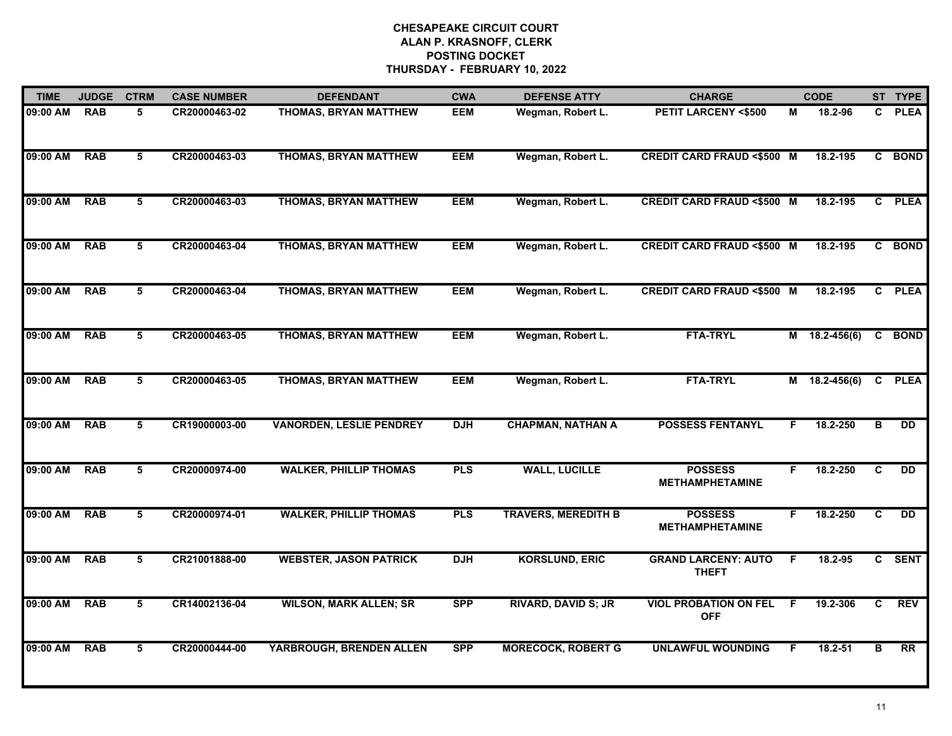| <b>TIME</b> | <b>JUDGE</b> | <b>CTRM</b>     | <b>CASE NUMBER</b> | <b>DEFENDANT</b>                | <b>CWA</b> | <b>DEFENSE ATTY</b>        | <b>CHARGE</b>                              |    | <b>CODE</b>   |              | ST TYPE     |
|-------------|--------------|-----------------|--------------------|---------------------------------|------------|----------------------------|--------------------------------------------|----|---------------|--------------|-------------|
| 09:00 AM    | <b>RAB</b>   | 5               | CR20000463-02      | THOMAS, BRYAN MATTHEW           | <b>EEM</b> | Wegman, Robert L.          | <b>PETIT LARCENY &lt;\$500</b>             | M  | 18.2-96       | C.           | <b>PLEA</b> |
| 09:00 AM    | <b>RAB</b>   | 5               | CR20000463-03      | <b>THOMAS, BRYAN MATTHEW</b>    | <b>EEM</b> | Wegman, Robert L.          | <b>CREDIT CARD FRAUD &lt;\$500 M</b>       |    | 18.2-195      |              | C BOND      |
| 09:00 AM    | <b>RAB</b>   | $\overline{5}$  | CR20000463-03      | <b>THOMAS, BRYAN MATTHEW</b>    | <b>EEM</b> | Wegman, Robert L.          | <b>CREDIT CARD FRAUD &lt;\$500 M</b>       |    | 18.2-195      |              | C PLEA      |
| 09:00 AM    | <b>RAB</b>   | 5               | CR20000463-04      | <b>THOMAS, BRYAN MATTHEW</b>    | <b>EEM</b> | Wegman, Robert L.          | <b>CREDIT CARD FRAUD &lt;\$500 M</b>       |    | 18.2-195      | C            | <b>BOND</b> |
| 09:00 AM    | <b>RAB</b>   | 5               | CR20000463-04      | <b>THOMAS, BRYAN MATTHEW</b>    | <b>EEM</b> | Wegman, Robert L.          | <b>CREDIT CARD FRAUD &lt;\$500 M</b>       |    | 18.2-195      | C            | <b>PLEA</b> |
| 09:00 AM    | <b>RAB</b>   | 5               | CR20000463-05      | <b>THOMAS, BRYAN MATTHEW</b>    | <b>EEM</b> | Wegman, Robert L.          | <b>FTA-TRYL</b>                            |    | M 18.2-456(6) | $\mathbf{c}$ | <b>BOND</b> |
| 09:00 AM    | <b>RAB</b>   | 5               | CR20000463-05      | <b>THOMAS, BRYAN MATTHEW</b>    | <b>EEM</b> | Wegman, Robert L.          | <b>FTA-TRYL</b>                            |    | M 18.2-456(6) |              | C PLEA      |
| 09:00 AM    | <b>RAB</b>   | $5\overline{)}$ | CR19000003-00      | <b>VANORDEN, LESLIE PENDREY</b> | <b>DJH</b> | <b>CHAPMAN, NATHAN A</b>   | <b>POSSESS FENTANYL</b>                    | F. | 18.2-250      | в            | <b>DD</b>   |
| 09:00 AM    | <b>RAB</b>   | 5               | CR20000974-00      | <b>WALKER, PHILLIP THOMAS</b>   | <b>PLS</b> | <b>WALL, LUCILLE</b>       | <b>POSSESS</b><br><b>METHAMPHETAMINE</b>   | F. | 18.2-250      | C            | <b>DD</b>   |
| 09:00 AM    | <b>RAB</b>   | 5               | CR20000974-01      | <b>WALKER, PHILLIP THOMAS</b>   | <b>PLS</b> | <b>TRAVERS, MEREDITH B</b> | <b>POSSESS</b><br><b>METHAMPHETAMINE</b>   | F. | 18.2-250      | C            | <b>DD</b>   |
| 09:00 AM    | <b>RAB</b>   | 5               | CR21001888-00      | <b>WEBSTER, JASON PATRICK</b>   | <b>DJH</b> | <b>KORSLUND, ERIC</b>      | <b>GRAND LARCENY: AUTO</b><br><b>THEFT</b> | F. | 18.2-95       |              | C SENT      |
| 09:00 AM    | <b>RAB</b>   | 5               | CR14002136-04      | <b>WILSON, MARK ALLEN; SR</b>   | <b>SPP</b> | <b>RIVARD, DAVID S; JR</b> | <b>VIOL PROBATION ON FEL</b><br><b>OFF</b> | F. | 19.2-306      | C            | <b>REV</b>  |
| 09:00 AM    | <b>RAB</b>   | $5\overline{)}$ | CR20000444-00      | YARBROUGH, BRENDEN ALLEN        | <b>SPP</b> | <b>MORECOCK, ROBERT G</b>  | <b>UNLAWFUL WOUNDING</b>                   | F  | $18.2 - 51$   | в            | RR          |